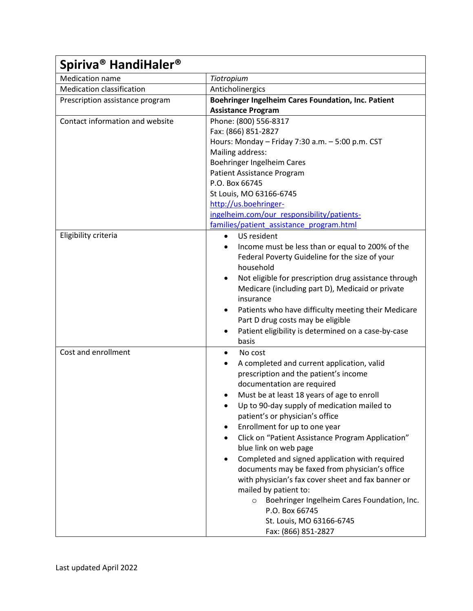| Spiriva <sup>®</sup> HandiHaler <sup>®</sup> |                                                               |
|----------------------------------------------|---------------------------------------------------------------|
| <b>Medication name</b>                       | Tiotropium                                                    |
| <b>Medication classification</b>             | Anticholinergics                                              |
| Prescription assistance program              | Boehringer Ingelheim Cares Foundation, Inc. Patient           |
|                                              | <b>Assistance Program</b>                                     |
| Contact information and website              | Phone: (800) 556-8317                                         |
|                                              | Fax: (866) 851-2827                                           |
|                                              | Hours: Monday - Friday 7:30 a.m. - 5:00 p.m. CST              |
|                                              | Mailing address:                                              |
|                                              | Boehringer Ingelheim Cares                                    |
|                                              | Patient Assistance Program                                    |
|                                              | P.O. Box 66745                                                |
|                                              | St Louis, MO 63166-6745                                       |
|                                              | http://us.boehringer-                                         |
|                                              | ingelheim.com/our responsibility/patients-                    |
|                                              | families/patient_assistance_program.html                      |
| Eligibility criteria                         | US resident<br>$\bullet$                                      |
|                                              | Income must be less than or equal to 200% of the<br>$\bullet$ |
|                                              | Federal Poverty Guideline for the size of your                |
|                                              | household                                                     |
|                                              | Not eligible for prescription drug assistance through<br>٠    |
|                                              | Medicare (including part D), Medicaid or private<br>insurance |
|                                              | Patients who have difficulty meeting their Medicare           |
|                                              | Part D drug costs may be eligible                             |
|                                              | Patient eligibility is determined on a case-by-case           |
|                                              | basis                                                         |
| Cost and enrollment                          | No cost<br>٠                                                  |
|                                              | A completed and current application, valid                    |
|                                              | prescription and the patient's income                         |
|                                              | documentation are required                                    |
|                                              | Must be at least 18 years of age to enroll<br>٠               |
|                                              | Up to 90-day supply of medication mailed to                   |
|                                              | patient's or physician's office                               |
|                                              | Enrollment for up to one year                                 |
|                                              | Click on "Patient Assistance Program Application"             |
|                                              | blue link on web page                                         |
|                                              | Completed and signed application with required                |
|                                              | documents may be faxed from physician's office                |
|                                              | with physician's fax cover sheet and fax banner or            |
|                                              | mailed by patient to:                                         |
|                                              | Boehringer Ingelheim Cares Foundation, Inc.<br>$\circ$        |
|                                              | P.O. Box 66745                                                |
|                                              | St. Louis, MO 63166-6745                                      |
|                                              | Fax: (866) 851-2827                                           |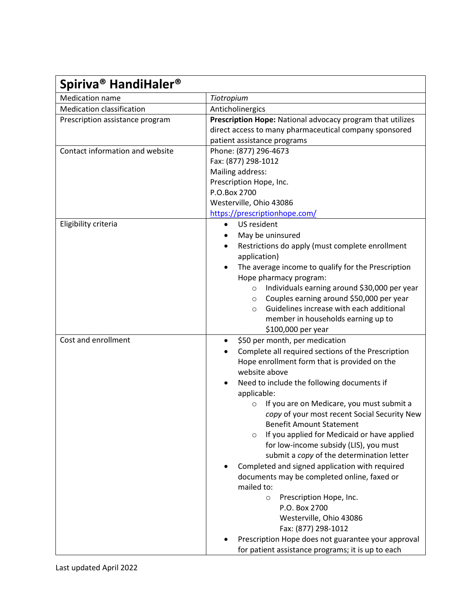| Spiriva <sup>®</sup> HandiHaler <sup>®</sup> |                                                                                                                                                                                                                                                                                                                                                                                                                                                                                                                                                                                                                                                                                                                                                                                                                                                                             |
|----------------------------------------------|-----------------------------------------------------------------------------------------------------------------------------------------------------------------------------------------------------------------------------------------------------------------------------------------------------------------------------------------------------------------------------------------------------------------------------------------------------------------------------------------------------------------------------------------------------------------------------------------------------------------------------------------------------------------------------------------------------------------------------------------------------------------------------------------------------------------------------------------------------------------------------|
| <b>Medication name</b>                       | Tiotropium                                                                                                                                                                                                                                                                                                                                                                                                                                                                                                                                                                                                                                                                                                                                                                                                                                                                  |
| <b>Medication classification</b>             | Anticholinergics                                                                                                                                                                                                                                                                                                                                                                                                                                                                                                                                                                                                                                                                                                                                                                                                                                                            |
| Prescription assistance program              | Prescription Hope: National advocacy program that utilizes<br>direct access to many pharmaceutical company sponsored<br>patient assistance programs                                                                                                                                                                                                                                                                                                                                                                                                                                                                                                                                                                                                                                                                                                                         |
| Contact information and website              | Phone: (877) 296-4673<br>Fax: (877) 298-1012<br>Mailing address:<br>Prescription Hope, Inc.<br>P.O.Box 2700<br>Westerville, Ohio 43086<br>https://prescriptionhope.com/                                                                                                                                                                                                                                                                                                                                                                                                                                                                                                                                                                                                                                                                                                     |
| Eligibility criteria                         | US resident<br>$\bullet$<br>May be uninsured<br>Restrictions do apply (must complete enrollment<br>application)<br>The average income to qualify for the Prescription<br>Hope pharmacy program:<br>Individuals earning around \$30,000 per year<br>$\circ$<br>Couples earning around \$50,000 per year<br>$\circ$<br>Guidelines increase with each additional<br>$\Omega$<br>member in households earning up to<br>\$100,000 per year                                                                                                                                                                                                                                                                                                                                                                                                                                       |
| Cost and enrollment                          | \$50 per month, per medication<br>$\bullet$<br>Complete all required sections of the Prescription<br>$\bullet$<br>Hope enrollment form that is provided on the<br>website above<br>Need to include the following documents if<br>applicable:<br>If you are on Medicare, you must submit a<br>$\circ$<br>copy of your most recent Social Security New<br><b>Benefit Amount Statement</b><br>If you applied for Medicaid or have applied<br>$\circ$<br>for low-income subsidy (LIS), you must<br>submit a copy of the determination letter<br>Completed and signed application with required<br>documents may be completed online, faxed or<br>mailed to:<br>Prescription Hope, Inc.<br>$\circ$<br>P.O. Box 2700<br>Westerville, Ohio 43086<br>Fax: (877) 298-1012<br>Prescription Hope does not guarantee your approval<br>for patient assistance programs; it is up to each |